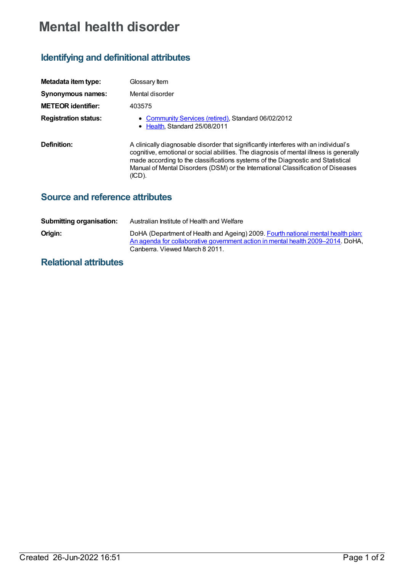# **Mental health disorder**

## **Identifying and definitional attributes**

| Metadata item type:         | Glossary Item                                                                                                                                                                                                                                                                                                                                                   |
|-----------------------------|-----------------------------------------------------------------------------------------------------------------------------------------------------------------------------------------------------------------------------------------------------------------------------------------------------------------------------------------------------------------|
| <b>Synonymous names:</b>    | Mental disorder                                                                                                                                                                                                                                                                                                                                                 |
| <b>METEOR identifier:</b>   | 403575                                                                                                                                                                                                                                                                                                                                                          |
| <b>Registration status:</b> | • Community Services (retired), Standard 06/02/2012<br>• Health, Standard 25/08/2011                                                                                                                                                                                                                                                                            |
| Definition:                 | A clinically diagnosable disorder that significantly interferes with an individual's<br>cognitive, emotional or social abilities. The diagnosis of mental illness is generally<br>made according to the classifications systems of the Diagnostic and Statistical<br>Manual of Mental Disorders (DSM) or the International Classification of Diseases<br>(ICD). |

### **Source and reference attributes**

| <b>Submitting organisation:</b> | Australian Institute of Health and Welfare                                                                                                                                                            |
|---------------------------------|-------------------------------------------------------------------------------------------------------------------------------------------------------------------------------------------------------|
| Origin:                         | DoHA (Department of Health and Ageing) 2009. Fourth national mental health plan:<br>An agenda for collaborative government action in mental health 2009–2014. DoHA,<br>Canberra. Viewed March 8 2011. |

### **Relational attributes**